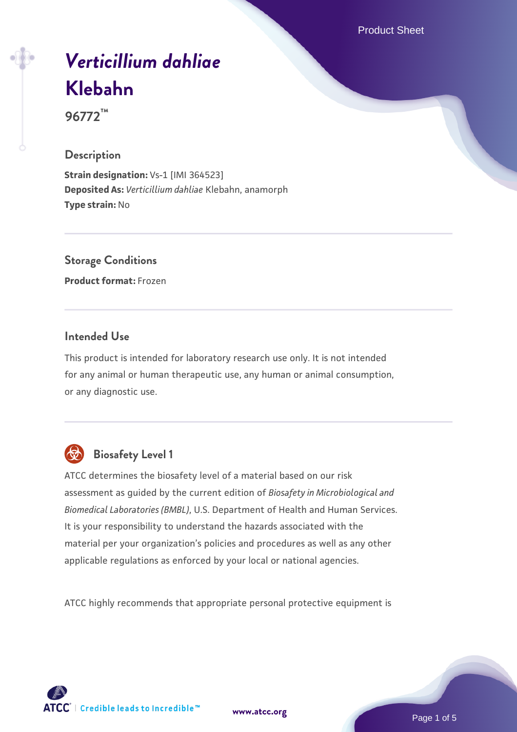Product Sheet

# *[Verticillium dahliae](https://www.atcc.org/products/96772)* **[Klebahn](https://www.atcc.org/products/96772)**

**96772™**

#### **Description**

**Strain designation:** Vs-1 [IMI 364523] **Deposited As:** *Verticillium dahliae* Klebahn, anamorph **Type strain:** No

#### **Storage Conditions**

**Product format:** Frozen

#### **Intended Use**

This product is intended for laboratory research use only. It is not intended for any animal or human therapeutic use, any human or animal consumption, or any diagnostic use.



### **Biosafety Level 1**

ATCC determines the biosafety level of a material based on our risk assessment as guided by the current edition of *Biosafety in Microbiological and Biomedical Laboratories (BMBL)*, U.S. Department of Health and Human Services. It is your responsibility to understand the hazards associated with the material per your organization's policies and procedures as well as any other applicable regulations as enforced by your local or national agencies.

ATCC highly recommends that appropriate personal protective equipment is

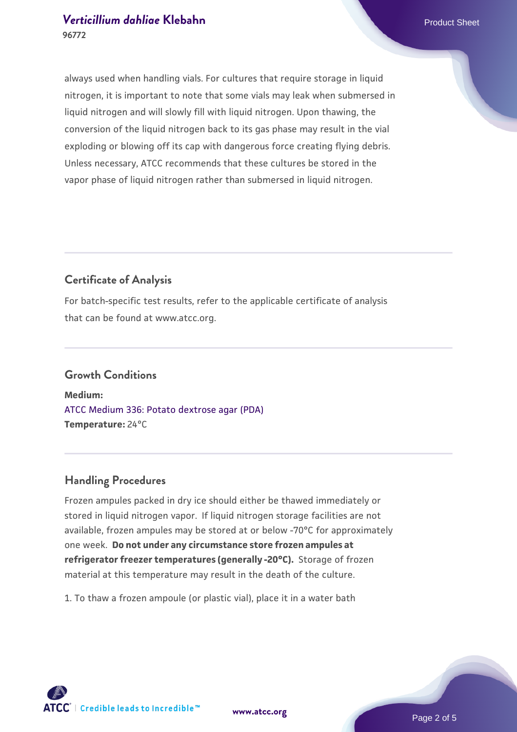always used when handling vials. For cultures that require storage in liquid nitrogen, it is important to note that some vials may leak when submersed in liquid nitrogen and will slowly fill with liquid nitrogen. Upon thawing, the conversion of the liquid nitrogen back to its gas phase may result in the vial exploding or blowing off its cap with dangerous force creating flying debris. Unless necessary, ATCC recommends that these cultures be stored in the vapor phase of liquid nitrogen rather than submersed in liquid nitrogen.

#### **Certificate of Analysis**

For batch-specific test results, refer to the applicable certificate of analysis that can be found at www.atcc.org.

#### **Growth Conditions**

**Medium:**  [ATCC Medium 336: Potato dextrose agar \(PDA\)](https://www.atcc.org/-/media/product-assets/documents/microbial-media-formulations/3/3/6/atcc-medium-336.pdf?rev=d9160ad44d934cd8b65175461abbf3b9) **Temperature:** 24°C

#### **Handling Procedures**

Frozen ampules packed in dry ice should either be thawed immediately or stored in liquid nitrogen vapor. If liquid nitrogen storage facilities are not available, frozen ampules may be stored at or below -70°C for approximately one week. **Do not under any circumstance store frozen ampules at refrigerator freezer temperatures (generally -20°C).** Storage of frozen material at this temperature may result in the death of the culture.

1. To thaw a frozen ampoule (or plastic vial), place it in a water bath

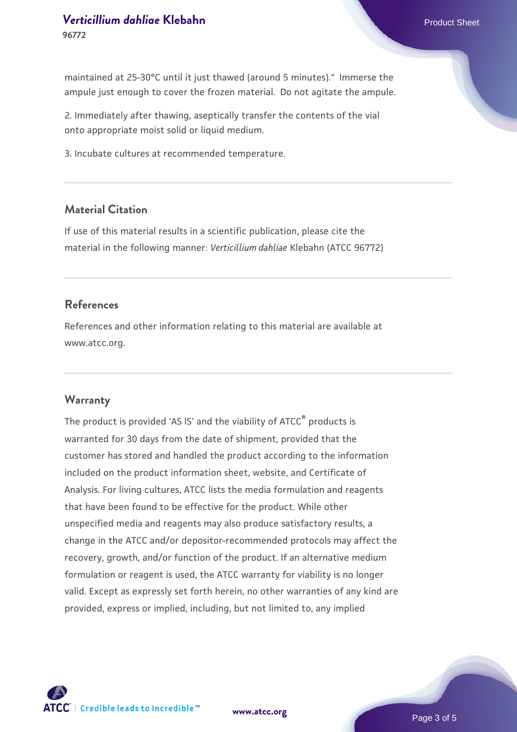2. Immediately after thawing, aseptically transfer the contents of the vial onto appropriate moist solid or liquid medium.

3. Incubate cultures at recommended temperature.

#### **Material Citation**

If use of this material results in a scientific publication, please cite the material in the following manner: *Verticillium dahliae* Klebahn (ATCC 96772)

#### **References**

References and other information relating to this material are available at www.atcc.org.

#### **Warranty**

The product is provided 'AS IS' and the viability of ATCC<sup>®</sup> products is warranted for 30 days from the date of shipment, provided that the customer has stored and handled the product according to the information included on the product information sheet, website, and Certificate of Analysis. For living cultures, ATCC lists the media formulation and reagents that have been found to be effective for the product. While other unspecified media and reagents may also produce satisfactory results, a change in the ATCC and/or depositor-recommended protocols may affect the recovery, growth, and/or function of the product. If an alternative medium formulation or reagent is used, the ATCC warranty for viability is no longer valid. Except as expressly set forth herein, no other warranties of any kind are provided, express or implied, including, but not limited to, any implied



**[www.atcc.org](http://www.atcc.org)**

Page 3 of 5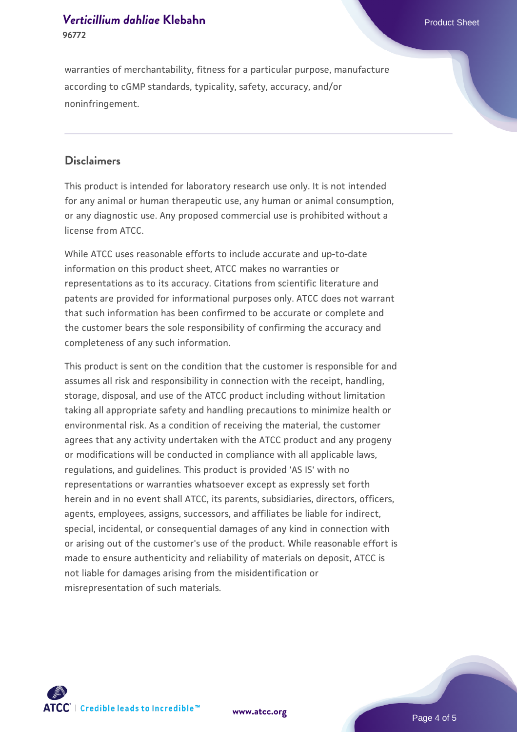warranties of merchantability, fitness for a particular purpose, manufacture according to cGMP standards, typicality, safety, accuracy, and/or noninfringement.

#### **Disclaimers**

This product is intended for laboratory research use only. It is not intended for any animal or human therapeutic use, any human or animal consumption, or any diagnostic use. Any proposed commercial use is prohibited without a license from ATCC.

While ATCC uses reasonable efforts to include accurate and up-to-date information on this product sheet, ATCC makes no warranties or representations as to its accuracy. Citations from scientific literature and patents are provided for informational purposes only. ATCC does not warrant that such information has been confirmed to be accurate or complete and the customer bears the sole responsibility of confirming the accuracy and completeness of any such information.

This product is sent on the condition that the customer is responsible for and assumes all risk and responsibility in connection with the receipt, handling, storage, disposal, and use of the ATCC product including without limitation taking all appropriate safety and handling precautions to minimize health or environmental risk. As a condition of receiving the material, the customer agrees that any activity undertaken with the ATCC product and any progeny or modifications will be conducted in compliance with all applicable laws, regulations, and guidelines. This product is provided 'AS IS' with no representations or warranties whatsoever except as expressly set forth herein and in no event shall ATCC, its parents, subsidiaries, directors, officers, agents, employees, assigns, successors, and affiliates be liable for indirect, special, incidental, or consequential damages of any kind in connection with or arising out of the customer's use of the product. While reasonable effort is made to ensure authenticity and reliability of materials on deposit, ATCC is not liable for damages arising from the misidentification or misrepresentation of such materials.



**[www.atcc.org](http://www.atcc.org)**

Page 4 of 5